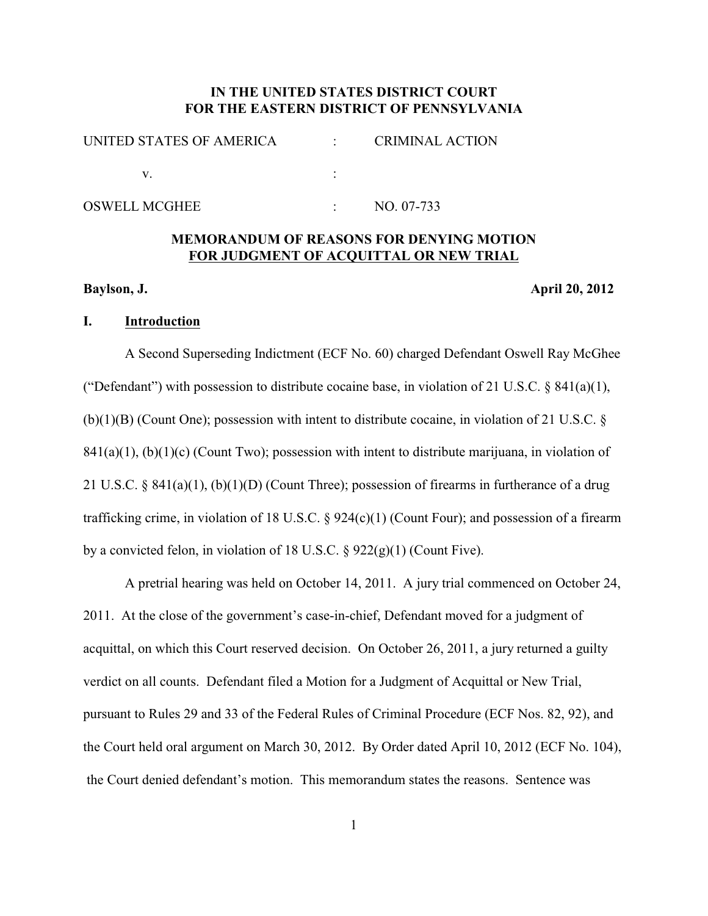# **IN THE UNITED STATES DISTRICT COURT FOR THE EASTERN DISTRICT OF PENNSYLVANIA**

| UNITED STATES OF AMERICA | <b>CRIMINAL ACTION</b> |
|--------------------------|------------------------|
|                          |                        |

# **MEMORANDUM OF REASONS FOR DENYING MOTION FOR JUDGMENT OF ACQUITTAL OR NEW TRIAL**

# **Baylson, J. April 20, 2012**

### **I. Introduction**

A Second Superseding Indictment (ECF No. 60) charged Defendant Oswell Ray McGhee ("Defendant") with possession to distribute cocaine base, in violation of 21 U.S.C.  $\S$  841(a)(1), (b)(1)(B) (Count One); possession with intent to distribute cocaine, in violation of 21 U.S.C. §  $841(a)(1)$ , (b)(1)(c) (Count Two); possession with intent to distribute marijuana, in violation of 21 U.S.C.  $\S 841(a)(1)$ , (b)(1)(D) (Count Three); possession of firearms in furtherance of a drug trafficking crime, in violation of 18 U.S.C. § 924(c)(1) (Count Four); and possession of a firearm by a convicted felon, in violation of 18 U.S.C.  $\S$  922(g)(1) (Count Five).

A pretrial hearing was held on October 14, 2011. A jury trial commenced on October 24, 2011. At the close of the government's case-in-chief, Defendant moved for a judgment of acquittal, on which this Court reserved decision. On October 26, 2011, a jury returned a guilty verdict on all counts. Defendant filed a Motion for a Judgment of Acquittal or New Trial, pursuant to Rules 29 and 33 of the Federal Rules of Criminal Procedure (ECF Nos. 82, 92), and the Court held oral argument on March 30, 2012. By Order dated April 10, 2012 (ECF No. 104), the Court denied defendant's motion. This memorandum states the reasons. Sentence was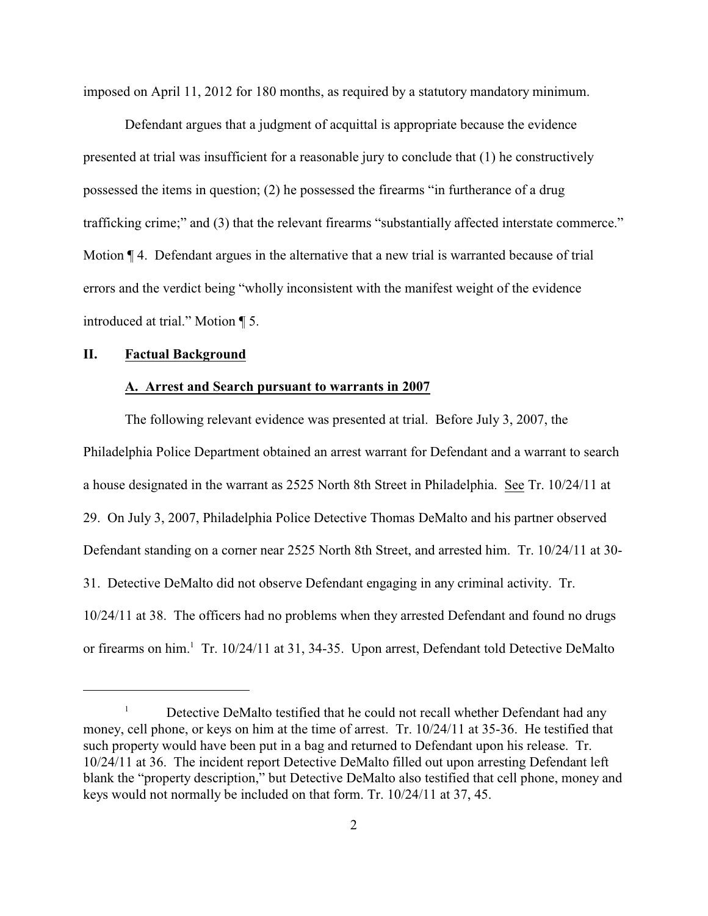imposed on April 11, 2012 for 180 months, as required by a statutory mandatory minimum.

Defendant argues that a judgment of acquittal is appropriate because the evidence presented at trial was insufficient for a reasonable jury to conclude that (1) he constructively possessed the items in question; (2) he possessed the firearms "in furtherance of a drug trafficking crime;" and (3) that the relevant firearms "substantially affected interstate commerce." Motion  $\P$  4. Defendant argues in the alternative that a new trial is warranted because of trial errors and the verdict being "wholly inconsistent with the manifest weight of the evidence introduced at trial." Motion ¶ 5.

#### **II. Factual Background**

#### **A. Arrest and Search pursuant to warrants in 2007**

The following relevant evidence was presented at trial. Before July 3, 2007, the Philadelphia Police Department obtained an arrest warrant for Defendant and a warrant to search a house designated in the warrant as 2525 North 8th Street in Philadelphia. See Tr. 10/24/11 at 29. On July 3, 2007, Philadelphia Police Detective Thomas DeMalto and his partner observed Defendant standing on a corner near 2525 North 8th Street, and arrested him. Tr. 10/24/11 at 30- 31. Detective DeMalto did not observe Defendant engaging in any criminal activity. Tr. 10/24/11 at 38. The officers had no problems when they arrested Defendant and found no drugs or firearms on him.<sup>1</sup> Tr. 10/24/11 at 31, 34-35. Upon arrest, Defendant told Detective DeMalto

 $\mu$  Detective DeMalto testified that he could not recall whether Defendant had any money, cell phone, or keys on him at the time of arrest. Tr. 10/24/11 at 35-36. He testified that such property would have been put in a bag and returned to Defendant upon his release. Tr. 10/24/11 at 36. The incident report Detective DeMalto filled out upon arresting Defendant left blank the "property description," but Detective DeMalto also testified that cell phone, money and keys would not normally be included on that form. Tr. 10/24/11 at 37, 45.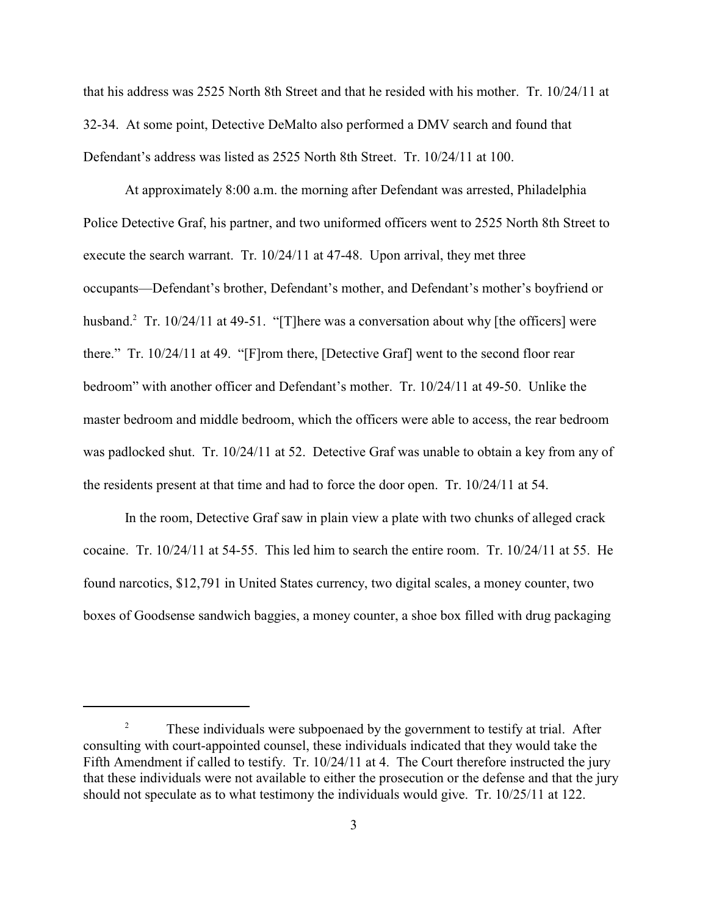that his address was 2525 North 8th Street and that he resided with his mother. Tr. 10/24/11 at 32-34. At some point, Detective DeMalto also performed a DMV search and found that Defendant's address was listed as 2525 North 8th Street. Tr. 10/24/11 at 100.

At approximately 8:00 a.m. the morning after Defendant was arrested, Philadelphia Police Detective Graf, his partner, and two uniformed officers went to 2525 North 8th Street to execute the search warrant. Tr. 10/24/11 at 47-48. Upon arrival, they met three occupants—Defendant's brother, Defendant's mother, and Defendant's mother's boyfriend or husband.<sup>2</sup> Tr. 10/24/11 at 49-51. "[T]here was a conversation about why [the officers] were there." Tr. 10/24/11 at 49. "[F]rom there, [Detective Graf] went to the second floor rear bedroom" with another officer and Defendant's mother. Tr. 10/24/11 at 49-50. Unlike the master bedroom and middle bedroom, which the officers were able to access, the rear bedroom was padlocked shut. Tr. 10/24/11 at 52. Detective Graf was unable to obtain a key from any of the residents present at that time and had to force the door open. Tr. 10/24/11 at 54.

In the room, Detective Graf saw in plain view a plate with two chunks of alleged crack cocaine. Tr. 10/24/11 at 54-55. This led him to search the entire room. Tr. 10/24/11 at 55. He found narcotics, \$12,791 in United States currency, two digital scales, a money counter, two boxes of Goodsense sandwich baggies, a money counter, a shoe box filled with drug packaging

These individuals were subpoenaed by the government to testify at trial. After 2 consulting with court-appointed counsel, these individuals indicated that they would take the Fifth Amendment if called to testify. Tr. 10/24/11 at 4. The Court therefore instructed the jury that these individuals were not available to either the prosecution or the defense and that the jury should not speculate as to what testimony the individuals would give. Tr. 10/25/11 at 122.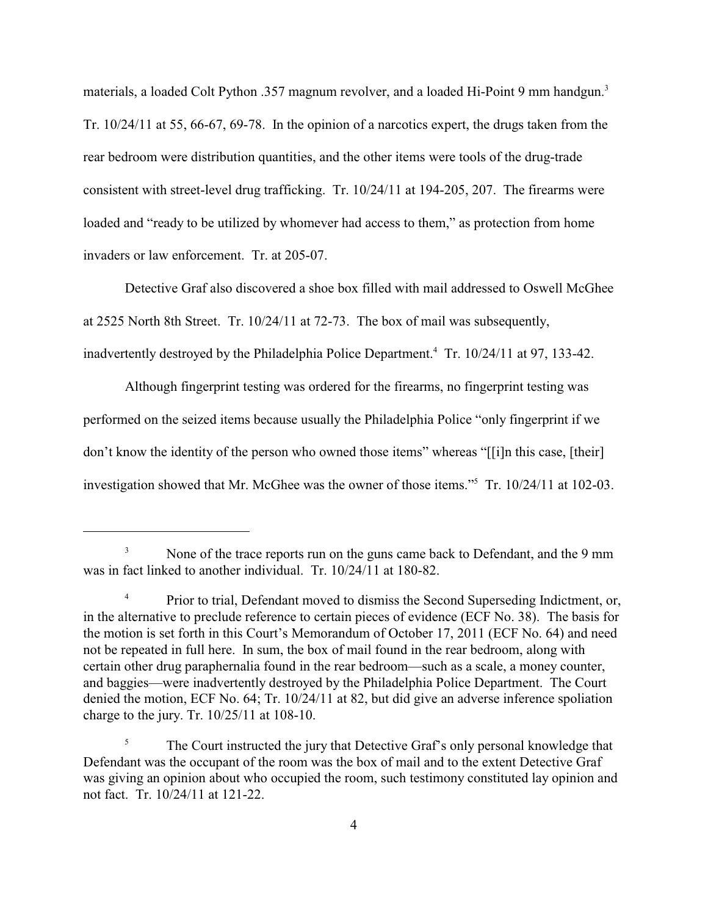materials, a loaded Colt Python .357 magnum revolver, and a loaded Hi-Point 9 mm handgun.<sup>3</sup> Tr. 10/24/11 at 55, 66-67, 69-78. In the opinion of a narcotics expert, the drugs taken from the rear bedroom were distribution quantities, and the other items were tools of the drug-trade consistent with street-level drug trafficking. Tr. 10/24/11 at 194-205, 207. The firearms were loaded and "ready to be utilized by whomever had access to them," as protection from home invaders or law enforcement. Tr. at 205-07.

Detective Graf also discovered a shoe box filled with mail addressed to Oswell McGhee at 2525 North 8th Street. Tr. 10/24/11 at 72-73. The box of mail was subsequently, inadvertently destroyed by the Philadelphia Police Department.<sup>4</sup> Tr. 10/24/11 at 97, 133-42.

Although fingerprint testing was ordered for the firearms, no fingerprint testing was performed on the seized items because usually the Philadelphia Police "only fingerprint if we don't know the identity of the person who owned those items" whereas "[[i]n this case, [their] investigation showed that Mr. McGhee was the owner of those items."<sup>5</sup> Tr.  $10/24/11$  at  $102-03$ .

<sup>&</sup>lt;sup>3</sup> None of the trace reports run on the guns came back to Defendant, and the 9 mm was in fact linked to another individual. Tr. 10/24/11 at 180-82.

<sup>&</sup>lt;sup>4</sup> Prior to trial, Defendant moved to dismiss the Second Superseding Indictment, or, in the alternative to preclude reference to certain pieces of evidence (ECF No. 38). The basis for the motion is set forth in this Court's Memorandum of October 17, 2011 (ECF No. 64) and need not be repeated in full here. In sum, the box of mail found in the rear bedroom, along with certain other drug paraphernalia found in the rear bedroom—such as a scale, a money counter, and baggies—were inadvertently destroyed by the Philadelphia Police Department. The Court denied the motion, ECF No. 64; Tr. 10/24/11 at 82, but did give an adverse inference spoliation charge to the jury. Tr. 10/25/11 at 108-10.

<sup>&</sup>lt;sup>5</sup> The Court instructed the jury that Detective Graf's only personal knowledge that Defendant was the occupant of the room was the box of mail and to the extent Detective Graf was giving an opinion about who occupied the room, such testimony constituted lay opinion and not fact. Tr. 10/24/11 at 121-22.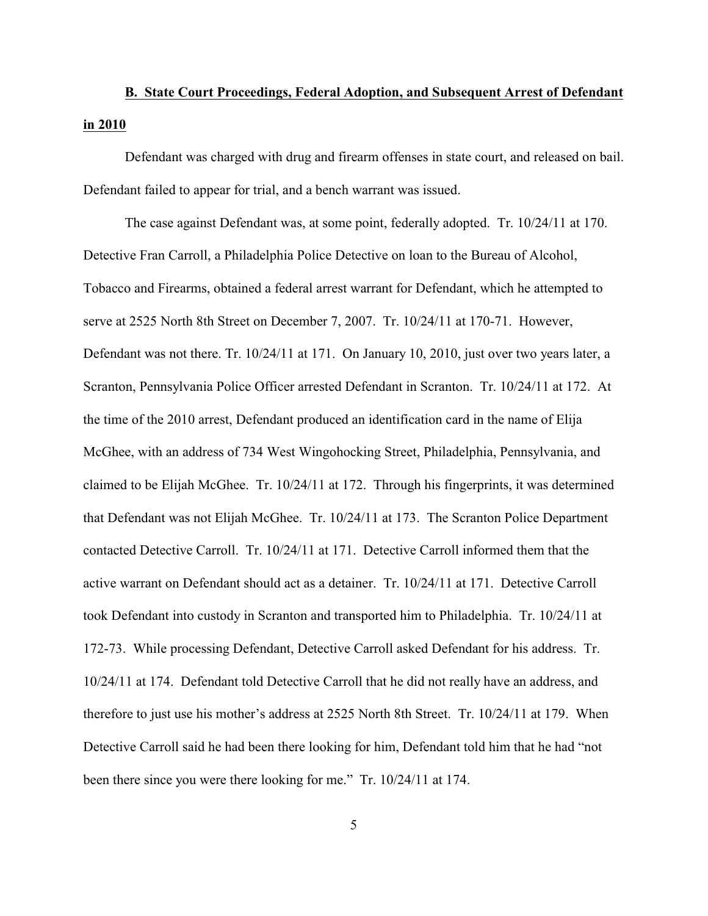# **B. State Court Proceedings, Federal Adoption, and Subsequent Arrest of Defendant in 2010**

Defendant was charged with drug and firearm offenses in state court, and released on bail. Defendant failed to appear for trial, and a bench warrant was issued.

The case against Defendant was, at some point, federally adopted. Tr. 10/24/11 at 170. Detective Fran Carroll, a Philadelphia Police Detective on loan to the Bureau of Alcohol, Tobacco and Firearms, obtained a federal arrest warrant for Defendant, which he attempted to serve at 2525 North 8th Street on December 7, 2007. Tr. 10/24/11 at 170-71. However, Defendant was not there. Tr. 10/24/11 at 171. On January 10, 2010, just over two years later, a Scranton, Pennsylvania Police Officer arrested Defendant in Scranton. Tr. 10/24/11 at 172. At the time of the 2010 arrest, Defendant produced an identification card in the name of Elija McGhee, with an address of 734 West Wingohocking Street, Philadelphia, Pennsylvania, and claimed to be Elijah McGhee. Tr. 10/24/11 at 172. Through his fingerprints, it was determined that Defendant was not Elijah McGhee. Tr. 10/24/11 at 173. The Scranton Police Department contacted Detective Carroll. Tr. 10/24/11 at 171. Detective Carroll informed them that the active warrant on Defendant should act as a detainer. Tr. 10/24/11 at 171. Detective Carroll took Defendant into custody in Scranton and transported him to Philadelphia. Tr. 10/24/11 at 172-73. While processing Defendant, Detective Carroll asked Defendant for his address. Tr. 10/24/11 at 174. Defendant told Detective Carroll that he did not really have an address, and therefore to just use his mother's address at 2525 North 8th Street. Tr. 10/24/11 at 179. When Detective Carroll said he had been there looking for him, Defendant told him that he had "not been there since you were there looking for me." Tr. 10/24/11 at 174.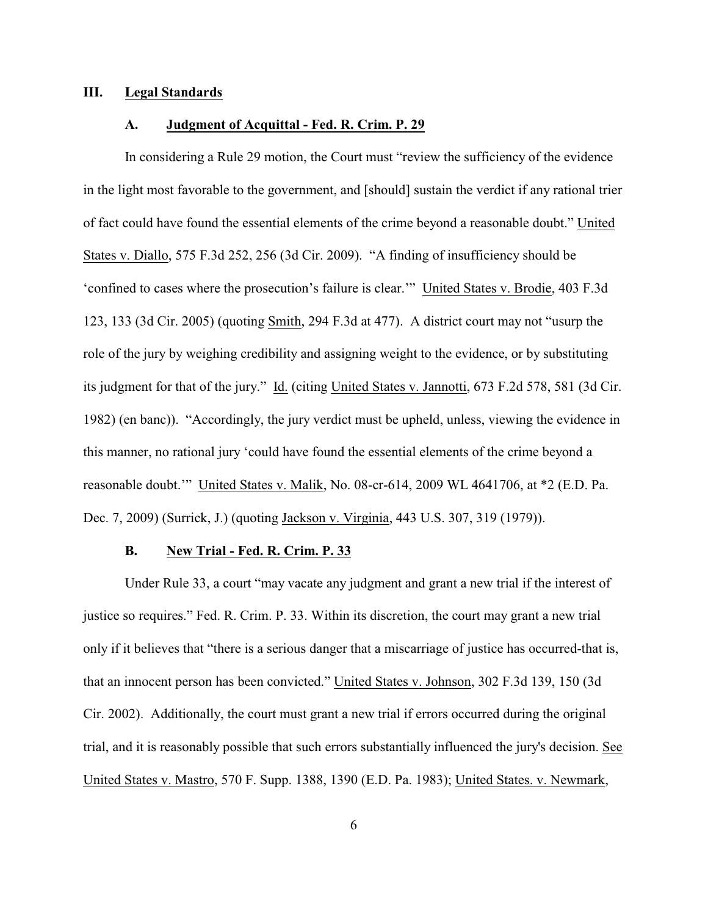#### **III. Legal Standards**

#### **A. Judgment of Acquittal - Fed. R. Crim. P. 29**

In considering a Rule 29 motion, the Court must "review the sufficiency of the evidence in the light most favorable to the government, and [should] sustain the verdict if any rational trier of fact could have found the essential elements of the crime beyond a reasonable doubt." United States v. Diallo, 575 F.3d 252, 256 (3d Cir. 2009). "A finding of insufficiency should be 'confined to cases where the prosecution's failure is clear.'" United States v. Brodie, 403 F.3d 123, 133 (3d Cir. 2005) (quoting Smith, 294 F.3d at 477). A district court may not "usurp the role of the jury by weighing credibility and assigning weight to the evidence, or by substituting its judgment for that of the jury." Id. (citing United States v. Jannotti, 673 F.2d 578, 581 (3d Cir. 1982) (en banc)). "Accordingly, the jury verdict must be upheld, unless, viewing the evidence in this manner, no rational jury 'could have found the essential elements of the crime beyond a reasonable doubt.'" United States v. Malik, No. 08-cr-614, 2009 WL 4641706, at \*2 (E.D. Pa. Dec. 7, 2009) (Surrick, J.) (quoting Jackson v. Virginia, 443 U.S. 307, 319 (1979)).

# **B. New Trial - Fed. R. Crim. P. 33**

Under Rule 33, a court "may vacate any judgment and grant a new trial if the interest of justice so requires." Fed. R. Crim. P. 33. Within its discretion, the court may grant a new trial only if it believes that "there is a serious danger that a miscarriage of justice has occurred-that is, that an innocent person has been convicted." United States v. Johnson, 302 F.3d 139, 150 (3d Cir. 2002). Additionally, the court must grant a new trial if errors occurred during the original trial, and it is reasonably possible that such errors substantially influenced the jury's decision. See United States v. Mastro, 570 F. Supp. 1388, 1390 (E.D. Pa. 1983); United States. v. Newmark,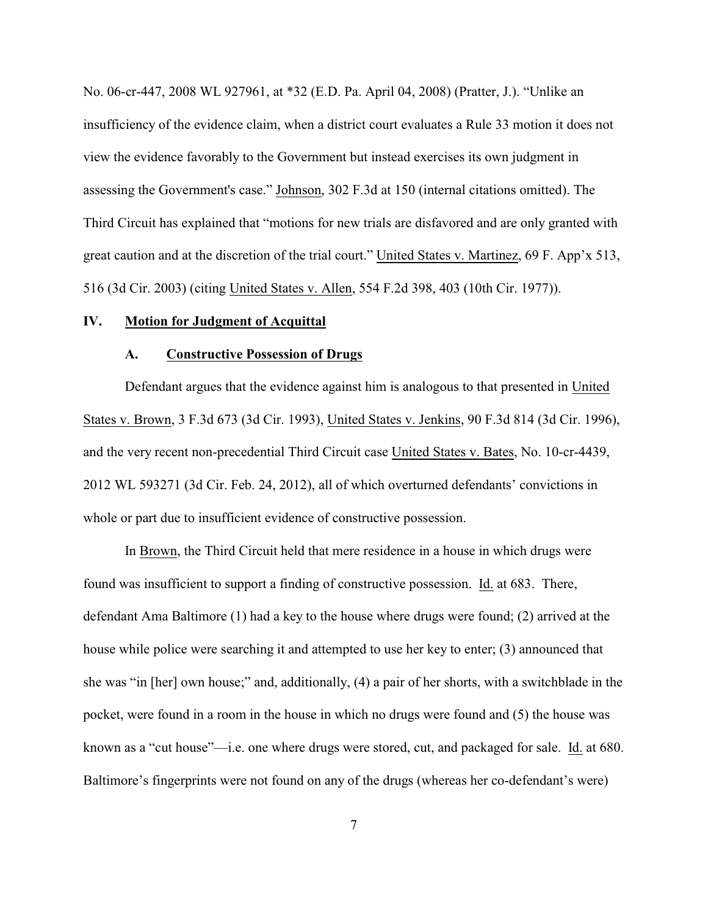No. 06-cr-447, 2008 WL 927961, at \*32 (E.D. Pa. April 04, 2008) (Pratter, J.). "Unlike an insufficiency of the evidence claim, when a district court evaluates a Rule 33 motion it does not view the evidence favorably to the Government but instead exercises its own judgment in assessing the Government's case." Johnson, 302 F.3d at 150 (internal citations omitted). The Third Circuit has explained that "motions for new trials are disfavored and are only granted with great caution and at the discretion of the trial court." United States v. Martinez, 69 F. App'x 513, 516 (3d Cir. 2003) (citing United States v. Allen, 554 F.2d 398, 403 (10th Cir. 1977)).

#### **IV. Motion for Judgment of Acquittal**

#### **A. Constructive Possession of Drugs**

Defendant argues that the evidence against him is analogous to that presented in United States v. Brown, 3 F.3d 673 (3d Cir. 1993), United States v. Jenkins, 90 F.3d 814 (3d Cir. 1996), and the very recent non-precedential Third Circuit case United States v. Bates, No. 10-cr-4439, 2012 WL 593271 (3d Cir. Feb. 24, 2012), all of which overturned defendants' convictions in whole or part due to insufficient evidence of constructive possession.

In Brown, the Third Circuit held that mere residence in a house in which drugs were found was insufficient to support a finding of constructive possession. Id. at 683. There, defendant Ama Baltimore (1) had a key to the house where drugs were found; (2) arrived at the house while police were searching it and attempted to use her key to enter; (3) announced that she was "in [her] own house;" and, additionally, (4) a pair of her shorts, with a switchblade in the pocket, were found in a room in the house in which no drugs were found and (5) the house was known as a "cut house"—i.e. one where drugs were stored, cut, and packaged for sale. Id. at 680. Baltimore's fingerprints were not found on any of the drugs (whereas her co-defendant's were)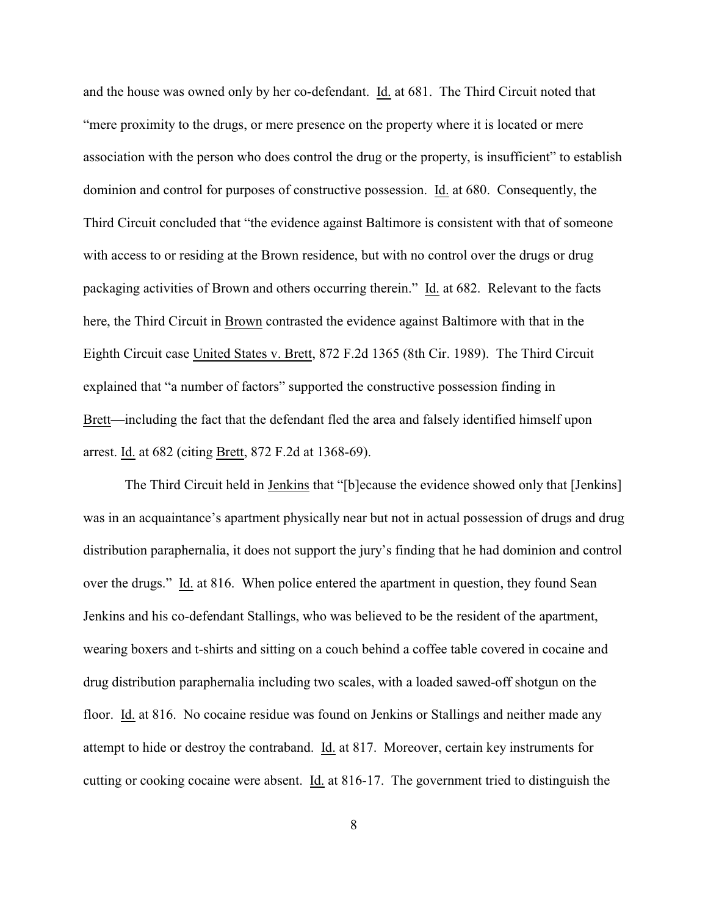and the house was owned only by her co-defendant. Id. at 681. The Third Circuit noted that "mere proximity to the drugs, or mere presence on the property where it is located or mere association with the person who does control the drug or the property, is insufficient" to establish dominion and control for purposes of constructive possession. Id. at 680. Consequently, the Third Circuit concluded that "the evidence against Baltimore is consistent with that of someone with access to or residing at the Brown residence, but with no control over the drugs or drug packaging activities of Brown and others occurring therein." Id. at 682. Relevant to the facts here, the Third Circuit in Brown contrasted the evidence against Baltimore with that in the Eighth Circuit case United States v. Brett, 872 F.2d 1365 (8th Cir. 1989). The Third Circuit explained that "a number of factors" supported the constructive possession finding in Brett—including the fact that the defendant fled the area and falsely identified himself upon arrest. Id. at 682 (citing Brett, 872 F.2d at 1368-69).

The Third Circuit held in Jenkins that "[b]ecause the evidence showed only that [Jenkins] was in an acquaintance's apartment physically near but not in actual possession of drugs and drug distribution paraphernalia, it does not support the jury's finding that he had dominion and control over the drugs." Id. at 816.When police entered the apartment in question, they found Sean Jenkins and his co-defendant Stallings, who was believed to be the resident of the apartment, wearing boxers and t-shirts and sitting on a couch behind a coffee table covered in cocaine and drug distribution paraphernalia including two scales, with a loaded sawed-off shotgun on the floor. Id. at 816. No cocaine residue was found on Jenkins or Stallings and neither made any attempt to hide or destroy the contraband. Id. at 817. Moreover, certain key instruments for cutting or cooking cocaine were absent. Id. at 816-17. The government tried to distinguish the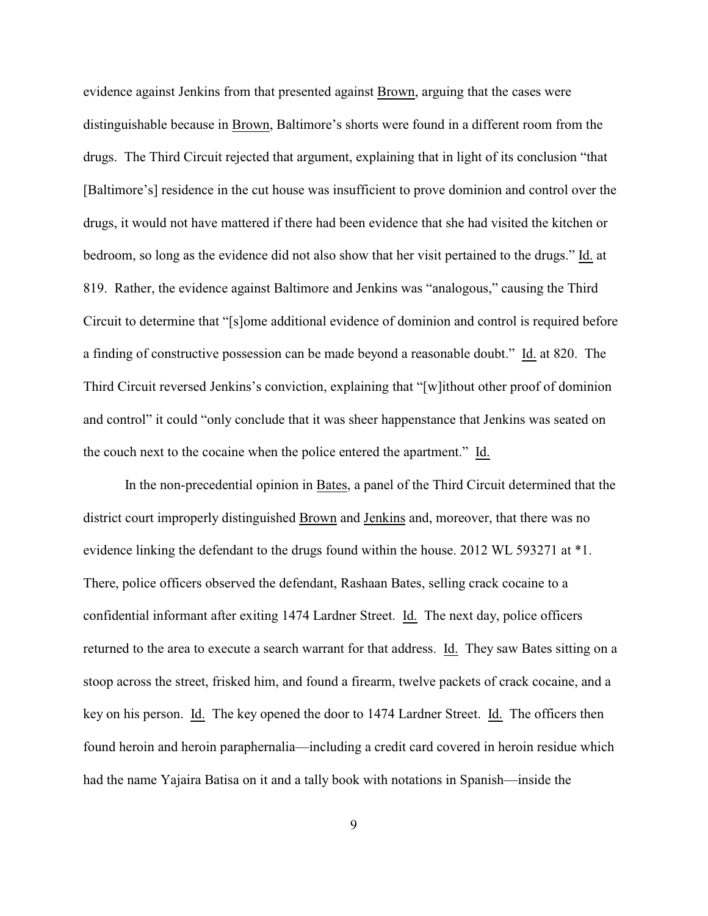evidence against Jenkins from that presented against Brown, arguing that the cases were distinguishable because in Brown, Baltimore's shorts were found in a different room from the drugs. The Third Circuit rejected that argument, explaining that in light of its conclusion "that [Baltimore's] residence in the cut house was insufficient to prove dominion and control over the drugs, it would not have mattered if there had been evidence that she had visited the kitchen or bedroom, so long as the evidence did not also show that her visit pertained to the drugs." Id. at 819. Rather, the evidence against Baltimore and Jenkins was "analogous," causing the Third Circuit to determine that "[s]ome additional evidence of dominion and control is required before a finding of constructive possession can be made beyond a reasonable doubt." Id. at 820. The Third Circuit reversed Jenkins's conviction, explaining that "[w]ithout other proof of dominion and control" it could "only conclude that it was sheer happenstance that Jenkins was seated on the couch next to the cocaine when the police entered the apartment." Id.

In the non-precedential opinion in Bates, a panel of the Third Circuit determined that the district court improperly distinguished Brown and Jenkins and, moreover, that there was no evidence linking the defendant to the drugs found within the house. 2012 WL 593271 at \*1. There, police officers observed the defendant, Rashaan Bates, selling crack cocaine to a confidential informant after exiting 1474 Lardner Street. Id. The next day, police officers returned to the area to execute a search warrant for that address. Id. They saw Bates sitting on a stoop across the street, frisked him, and found a firearm, twelve packets of crack cocaine, and a key on his person. Id. The key opened the door to 1474 Lardner Street. Id. The officers then found heroin and heroin paraphernalia—including a credit card covered in heroin residue which had the name Yajaira Batisa on it and a tally book with notations in Spanish—inside the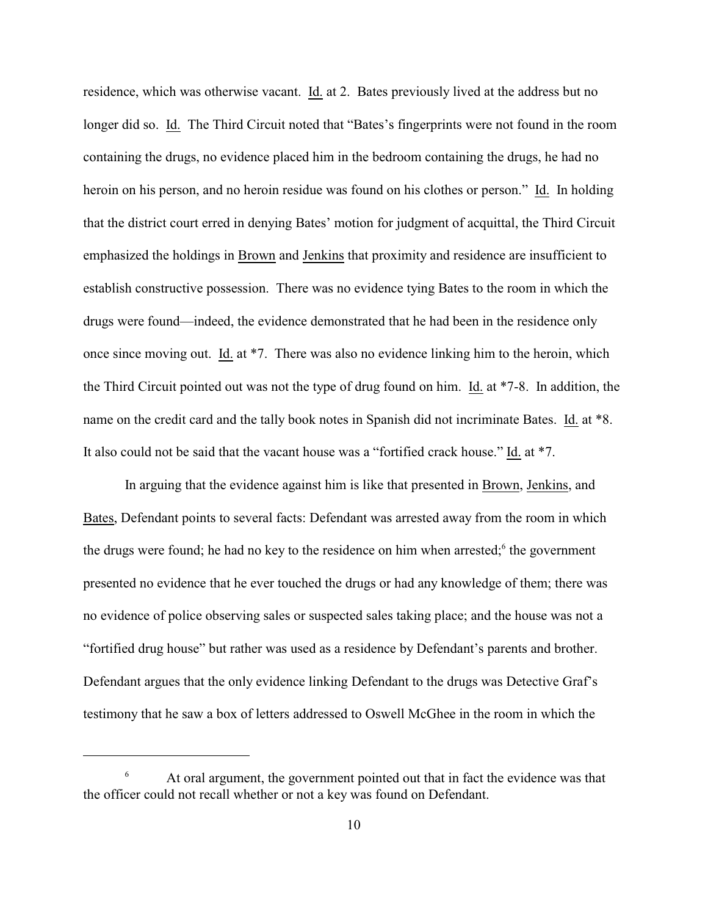residence, which was otherwise vacant. Id. at 2. Bates previously lived at the address but no longer did so. Id. The Third Circuit noted that "Bates's fingerprints were not found in the room containing the drugs, no evidence placed him in the bedroom containing the drugs, he had no heroin on his person, and no heroin residue was found on his clothes or person." Id. In holding that the district court erred in denying Bates' motion for judgment of acquittal, the Third Circuit emphasized the holdings in Brown and Jenkins that proximity and residence are insufficient to establish constructive possession. There was no evidence tying Bates to the room in which the drugs were found—indeed, the evidence demonstrated that he had been in the residence only once since moving out. Id. at \*7. There was also no evidence linking him to the heroin, which the Third Circuit pointed out was not the type of drug found on him. Id. at \*7-8. In addition, the name on the credit card and the tally book notes in Spanish did not incriminate Bates. Id. at \*8. It also could not be said that the vacant house was a "fortified crack house." Id. at \*7.

In arguing that the evidence against him is like that presented in Brown, Jenkins, and Bates, Defendant points to several facts: Defendant was arrested away from the room in which the drugs were found; he had no key to the residence on him when arrested; $<sup>6</sup>$  the government</sup> presented no evidence that he ever touched the drugs or had any knowledge of them; there was no evidence of police observing sales or suspected sales taking place; and the house was not a "fortified drug house" but rather was used as a residence by Defendant's parents and brother. Defendant argues that the only evidence linking Defendant to the drugs was Detective Graf's testimony that he saw a box of letters addressed to Oswell McGhee in the room in which the

 $\epsilon$  At oral argument, the government pointed out that in fact the evidence was that the officer could not recall whether or not a key was found on Defendant.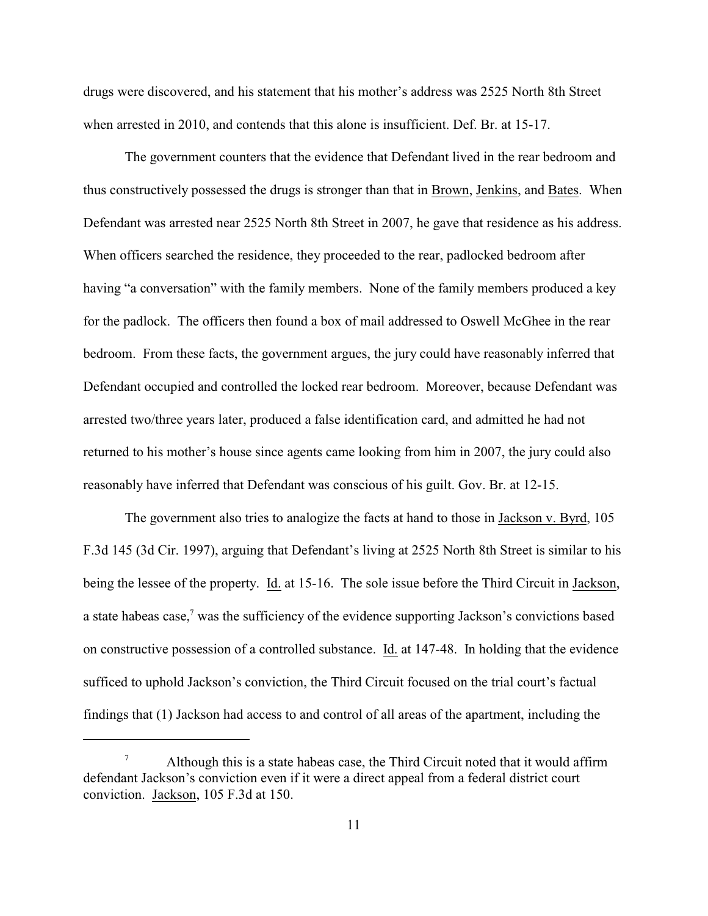drugs were discovered, and his statement that his mother's address was 2525 North 8th Street when arrested in 2010, and contends that this alone is insufficient. Def. Br. at 15-17.

The government counters that the evidence that Defendant lived in the rear bedroom and thus constructively possessed the drugs is stronger than that in Brown, Jenkins, and Bates. When Defendant was arrested near 2525 North 8th Street in 2007, he gave that residence as his address. When officers searched the residence, they proceeded to the rear, padlocked bedroom after having "a conversation" with the family members. None of the family members produced a key for the padlock. The officers then found a box of mail addressed to Oswell McGhee in the rear bedroom. From these facts, the government argues, the jury could have reasonably inferred that Defendant occupied and controlled the locked rear bedroom. Moreover, because Defendant was arrested two/three years later, produced a false identification card, and admitted he had not returned to his mother's house since agents came looking from him in 2007, the jury could also reasonably have inferred that Defendant was conscious of his guilt. Gov. Br. at 12-15.

The government also tries to analogize the facts at hand to those in Jackson v. Byrd, 105 F.3d 145 (3d Cir. 1997), arguing that Defendant's living at 2525 North 8th Street is similar to his being the lessee of the property. Id. at 15-16.The sole issue before the Third Circuit in Jackson, a state habeas case,<sup>7</sup> was the sufficiency of the evidence supporting Jackson's convictions based on constructive possession of a controlled substance. Id. at 147-48. In holding that the evidence sufficed to uphold Jackson's conviction, the Third Circuit focused on the trial court's factual findings that (1) Jackson had access to and control of all areas of the apartment, including the

Although this is a state habeas case, the Third Circuit noted that it would affirm 7 defendant Jackson's conviction even if it were a direct appeal from a federal district court conviction. Jackson, 105 F.3d at 150.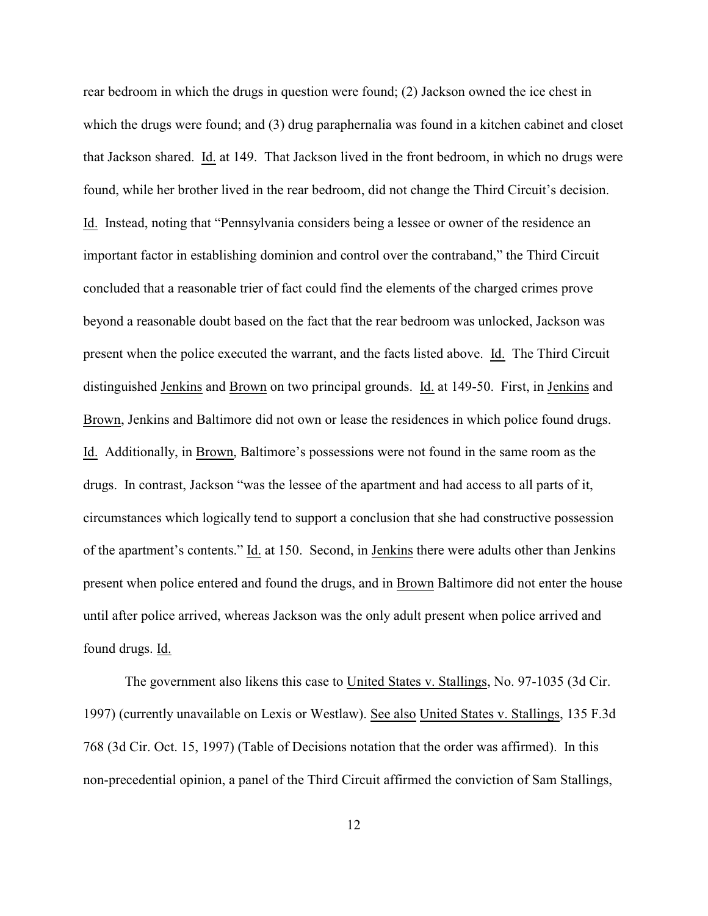rear bedroom in which the drugs in question were found; (2) Jackson owned the ice chest in which the drugs were found; and (3) drug paraphernalia was found in a kitchen cabinet and closet that Jackson shared. Id. at 149. That Jackson lived in the front bedroom, in which no drugs were found, while her brother lived in the rear bedroom, did not change the Third Circuit's decision. Id. Instead, noting that "Pennsylvania considers being a lessee or owner of the residence an important factor in establishing dominion and control over the contraband," the Third Circuit concluded that a reasonable trier of fact could find the elements of the charged crimes prove beyond a reasonable doubt based on the fact that the rear bedroom was unlocked, Jackson was present when the police executed the warrant, and the facts listed above. Id. The Third Circuit distinguished Jenkins and Brown on two principal grounds. Id. at 149-50. First, in Jenkins and Brown, Jenkins and Baltimore did not own or lease the residences in which police found drugs. Id. Additionally, in Brown, Baltimore's possessions were not found in the same room as the drugs. In contrast, Jackson "was the lessee of the apartment and had access to all parts of it, circumstances which logically tend to support a conclusion that she had constructive possession of the apartment's contents." Id. at 150. Second, in Jenkins there were adults other than Jenkins present when police entered and found the drugs, and in Brown Baltimore did not enter the house until after police arrived, whereas Jackson was the only adult present when police arrived and found drugs. Id.

The government also likens this case to United States v. Stallings, No. 97-1035 (3d Cir. 1997) (currently unavailable on Lexis or Westlaw). See also United States v. Stallings, 135 F.3d 768 (3d Cir. Oct. 15, 1997) (Table of Decisions notation that the order was affirmed). In this non-precedential opinion, a panel of the Third Circuit affirmed the conviction of Sam Stallings,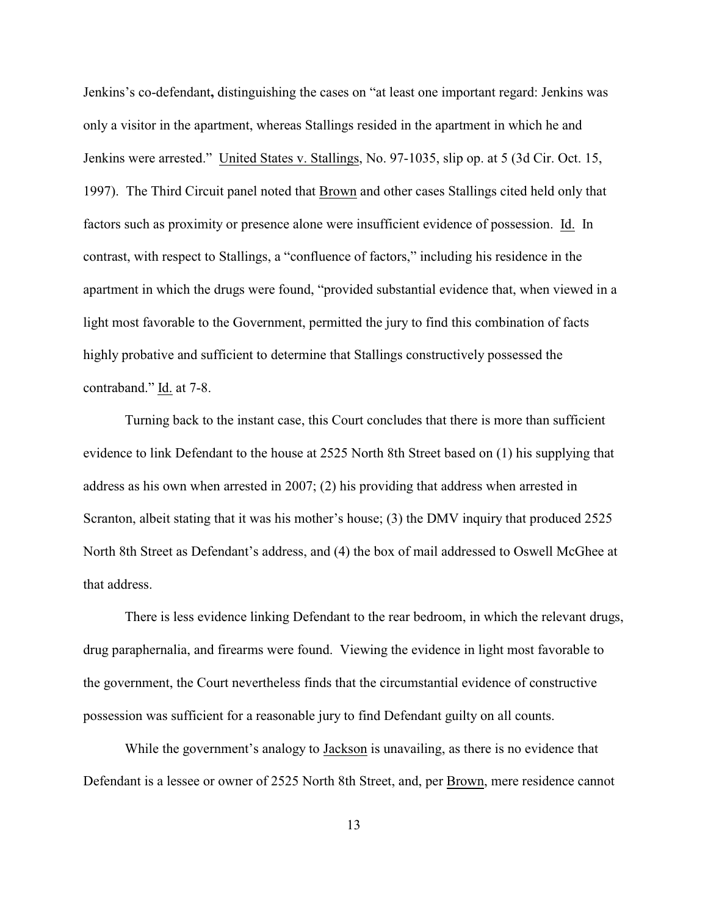Jenkins's co-defendant**,** distinguishing the cases on "at least one important regard: Jenkins was only a visitor in the apartment, whereas Stallings resided in the apartment in which he and Jenkins were arrested." United States v. Stallings, No. 97-1035, slip op. at 5 (3d Cir. Oct. 15, 1997). The Third Circuit panel noted that Brown and other cases Stallings cited held only that factors such as proximity or presence alone were insufficient evidence of possession. Id. In contrast, with respect to Stallings, a "confluence of factors," including his residence in the apartment in which the drugs were found, "provided substantial evidence that, when viewed in a light most favorable to the Government, permitted the jury to find this combination of facts highly probative and sufficient to determine that Stallings constructively possessed the contraband." Id. at 7-8.

Turning back to the instant case, this Court concludes that there is more than sufficient evidence to link Defendant to the house at 2525 North 8th Street based on (1) his supplying that address as his own when arrested in 2007; (2) his providing that address when arrested in Scranton, albeit stating that it was his mother's house; (3) the DMV inquiry that produced 2525 North 8th Street as Defendant's address, and (4) the box of mail addressed to Oswell McGhee at that address.

There is less evidence linking Defendant to the rear bedroom, in which the relevant drugs, drug paraphernalia, and firearms were found.Viewing the evidence in light most favorable to the government, the Court nevertheless finds that the circumstantial evidence of constructive possession was sufficient for a reasonable jury to find Defendant guilty on all counts.

While the government's analogy to Jackson is unavailing, as there is no evidence that Defendant is a lessee or owner of 2525 North 8th Street, and, per Brown, mere residence cannot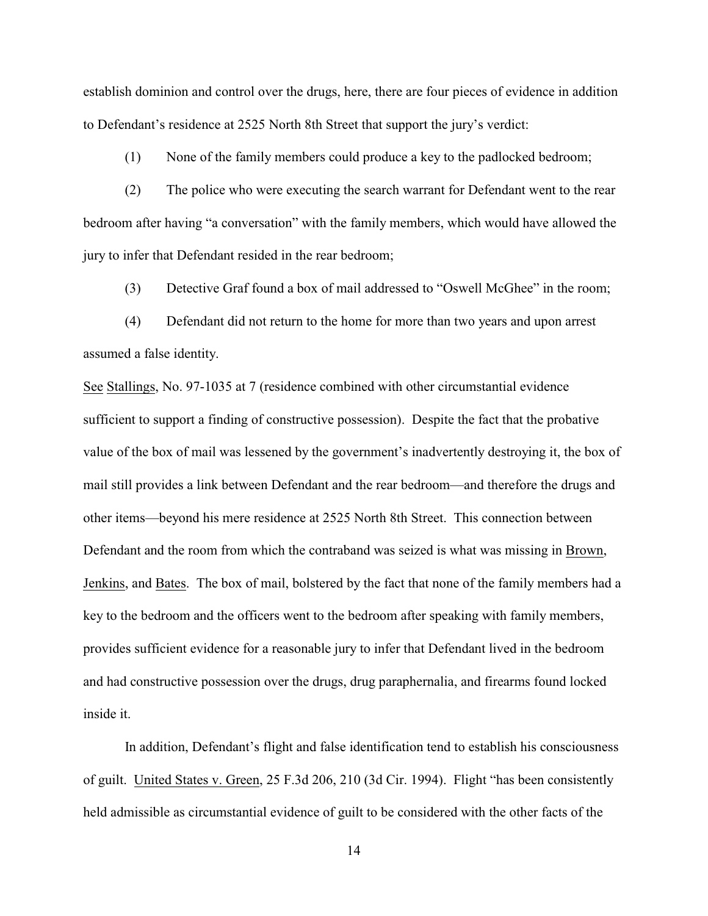establish dominion and control over the drugs, here, there are four pieces of evidence in addition to Defendant's residence at 2525 North 8th Street that support the jury's verdict:

(1) None of the family members could produce a key to the padlocked bedroom;

(2) The police who were executing the search warrant for Defendant went to the rear bedroom after having "a conversation" with the family members, which would have allowed the jury to infer that Defendant resided in the rear bedroom;

(3) Detective Graf found a box of mail addressed to "Oswell McGhee" in the room;

(4) Defendant did not return to the home for more than two years and upon arrest assumed a false identity.

See Stallings, No. 97-1035 at 7 (residence combined with other circumstantial evidence sufficient to support a finding of constructive possession). Despite the fact that the probative value of the box of mail was lessened by the government's inadvertently destroying it, the box of mail still provides a link between Defendant and the rear bedroom—and therefore the drugs and other items—beyond his mere residence at 2525 North 8th Street. This connection between Defendant and the room from which the contraband was seized is what was missing in Brown, Jenkins, and Bates. The box of mail, bolstered by the fact that none of the family members had a key to the bedroom and the officers went to the bedroom after speaking with family members, provides sufficient evidence for a reasonable jury to infer that Defendant lived in the bedroom and had constructive possession over the drugs, drug paraphernalia, and firearms found locked inside it.

In addition, Defendant's flight and false identification tend to establish his consciousness of guilt. United States v. Green, 25 F.3d 206, 210 (3d Cir. 1994). Flight "has been consistently held admissible as circumstantial evidence of guilt to be considered with the other facts of the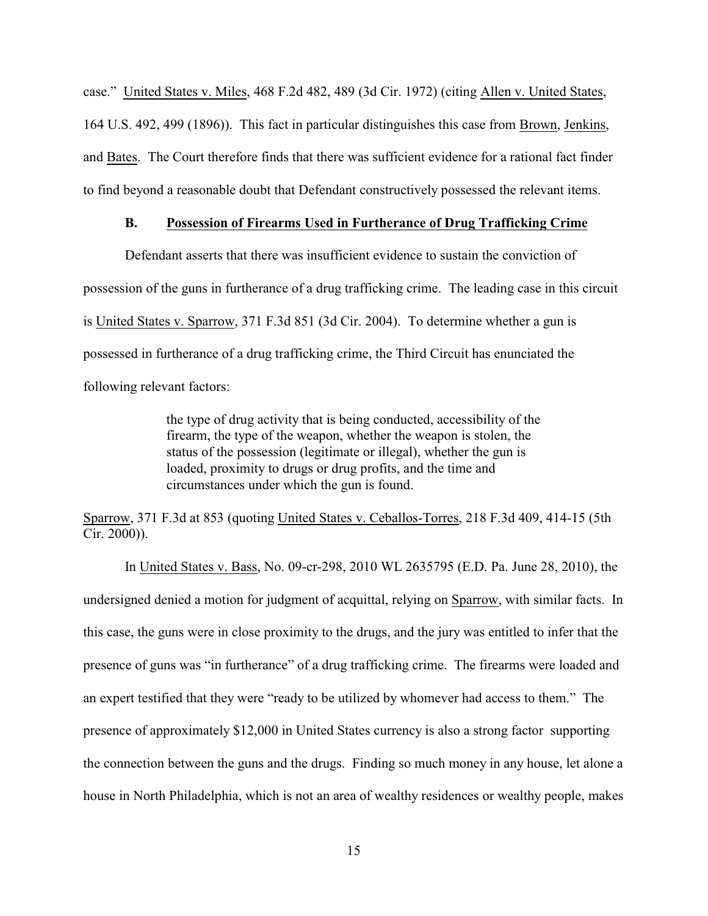case." United States v. Miles, 468 F.2d 482, 489 (3d Cir. 1972) (citing Allen v. United States, 164 U.S. 492, 499 (1896)). This fact in particular distinguishes this case from Brown, Jenkins, and Bates. The Court therefore finds that there was sufficient evidence for a rational fact finder to find beyond a reasonable doubt that Defendant constructively possessed the relevant items.

### **B. Possession of Firearms Used in Furtherance of Drug Trafficking Crime**

Defendant asserts that there was insufficient evidence to sustain the conviction of possession of the guns in furtherance of a drug trafficking crime. The leading case in this circuit is United States v. Sparrow, 371 F.3d 851 (3d Cir. 2004). To determine whether a gun is possessed in furtherance of a drug trafficking crime, the Third Circuit has enunciated the following relevant factors:

> the type of drug activity that is being conducted, accessibility of the firearm, the type of the weapon, whether the weapon is stolen, the status of the possession (legitimate or illegal), whether the gun is loaded, proximity to drugs or drug profits, and the time and circumstances under which the gun is found.

Sparrow, 371 F.3d at 853 (quoting United States v. Ceballos-Torres, 218 F.3d 409, 414-15 (5th Cir. 2000)).

In United States v. Bass, No. 09-cr-298, 2010 WL 2635795 (E.D. Pa. June 28, 2010), the undersigned denied a motion for judgment of acquittal, relying on Sparrow, with similar facts. In this case, the guns were in close proximity to the drugs, and the jury was entitled to infer that the presence of guns was "in furtherance" of a drug trafficking crime. The firearms were loaded and an expert testified that they were "ready to be utilized by whomever had access to them." The presence of approximately \$12,000 in United States currency is also a strong factor supporting the connection between the guns and the drugs. Finding so much money in any house, let alone a house in North Philadelphia, which is not an area of wealthy residences or wealthy people, makes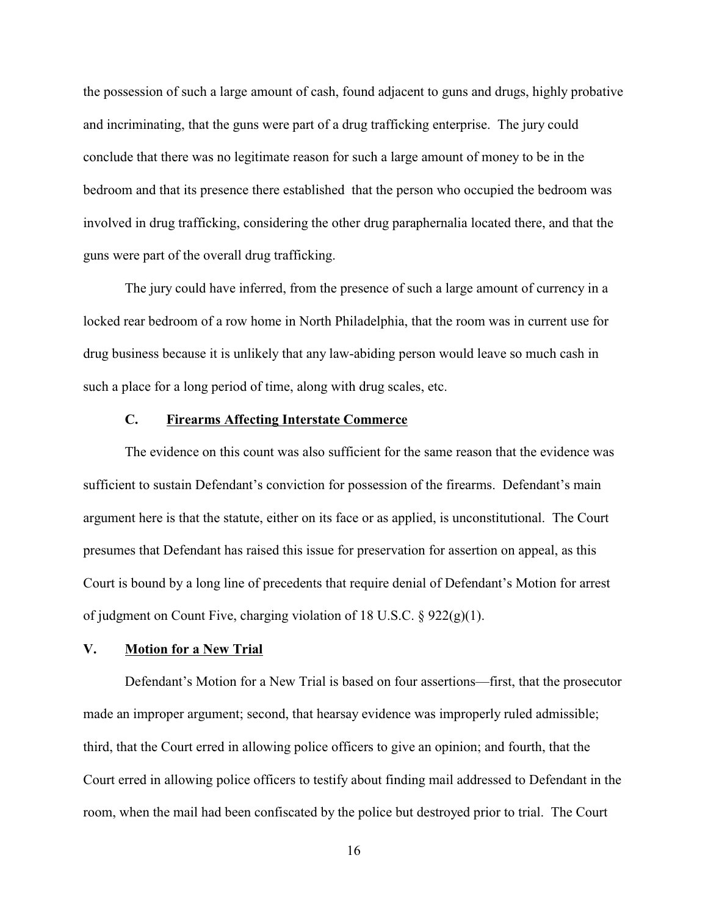the possession of such a large amount of cash, found adjacent to guns and drugs, highly probative and incriminating, that the guns were part of a drug trafficking enterprise. The jury could conclude that there was no legitimate reason for such a large amount of money to be in the bedroom and that its presence there established that the person who occupied the bedroom was involved in drug trafficking, considering the other drug paraphernalia located there, and that the guns were part of the overall drug trafficking.

The jury could have inferred, from the presence of such a large amount of currency in a locked rear bedroom of a row home in North Philadelphia, that the room was in current use for drug business because it is unlikely that any law-abiding person would leave so much cash in such a place for a long period of time, along with drug scales, etc.

# **C. Firearms Affecting Interstate Commerce**

The evidence on this count was also sufficient for the same reason that the evidence was sufficient to sustain Defendant's conviction for possession of the firearms. Defendant's main argument here is that the statute, either on its face or as applied, is unconstitutional. The Court presumes that Defendant has raised this issue for preservation for assertion on appeal, as this Court is bound by a long line of precedents that require denial of Defendant's Motion for arrest of judgment on Count Five, charging violation of 18 U.S.C. § 922(g)(1).

# **V. Motion for a New Trial**

Defendant's Motion for a New Trial is based on four assertions—first, that the prosecutor made an improper argument; second, that hearsay evidence was improperly ruled admissible; third, that the Court erred in allowing police officers to give an opinion; and fourth, that the Court erred in allowing police officers to testify about finding mail addressed to Defendant in the room, when the mail had been confiscated by the police but destroyed prior to trial. The Court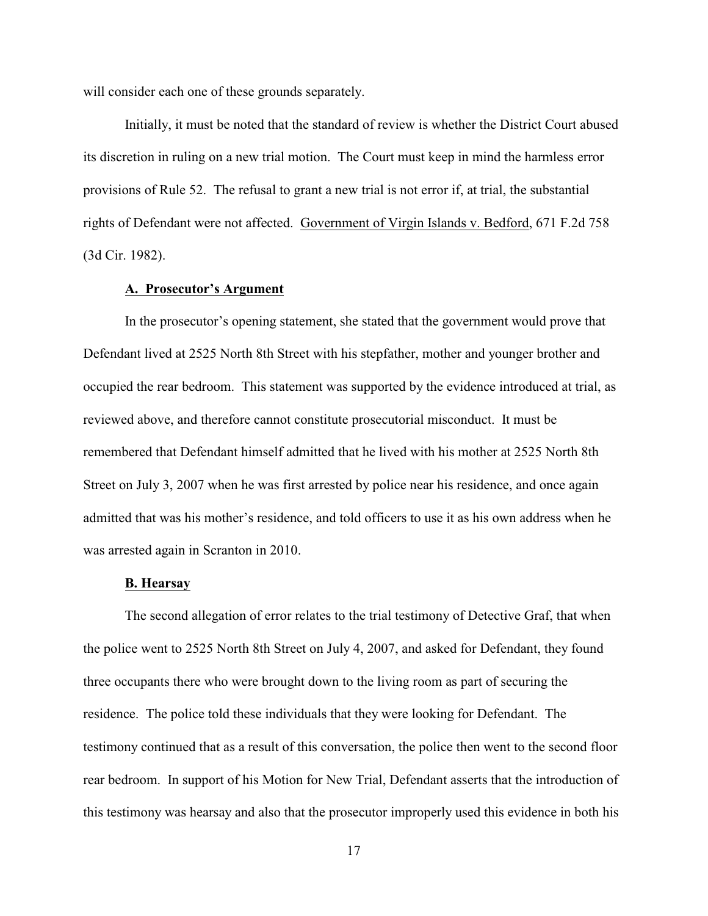will consider each one of these grounds separately.

Initially, it must be noted that the standard of review is whether the District Court abused its discretion in ruling on a new trial motion. The Court must keep in mind the harmless error provisions of Rule 52. The refusal to grant a new trial is not error if, at trial, the substantial rights of Defendant were not affected. Government of Virgin Islands v. Bedford, 671 F.2d 758 (3d Cir. 1982).

### **A. Prosecutor's Argument**

In the prosecutor's opening statement, she stated that the government would prove that Defendant lived at 2525 North 8th Street with his stepfather, mother and younger brother and occupied the rear bedroom. This statement was supported by the evidence introduced at trial, as reviewed above, and therefore cannot constitute prosecutorial misconduct. It must be remembered that Defendant himself admitted that he lived with his mother at 2525 North 8th Street on July 3, 2007 when he was first arrested by police near his residence, and once again admitted that was his mother's residence, and told officers to use it as his own address when he was arrested again in Scranton in 2010.

#### **B. Hearsay**

The second allegation of error relates to the trial testimony of Detective Graf, that when the police went to 2525 North 8th Street on July 4, 2007, and asked for Defendant, they found three occupants there who were brought down to the living room as part of securing the residence. The police told these individuals that they were looking for Defendant. The testimony continued that as a result of this conversation, the police then went to the second floor rear bedroom. In support of his Motion for New Trial, Defendant asserts that the introduction of this testimony was hearsay and also that the prosecutor improperly used this evidence in both his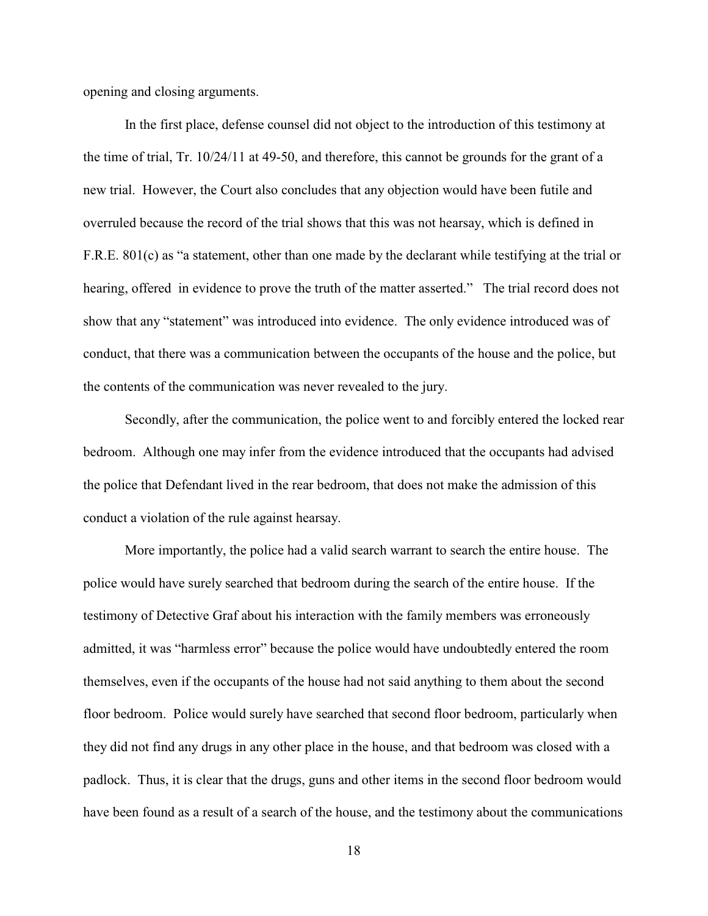opening and closing arguments.

In the first place, defense counsel did not object to the introduction of this testimony at the time of trial, Tr. 10/24/11 at 49-50, and therefore, this cannot be grounds for the grant of a new trial. However, the Court also concludes that any objection would have been futile and overruled because the record of the trial shows that this was not hearsay, which is defined in F.R.E. 801(c) as "a statement, other than one made by the declarant while testifying at the trial or hearing, offered in evidence to prove the truth of the matter asserted." The trial record does not show that any "statement" was introduced into evidence. The only evidence introduced was of conduct, that there was a communication between the occupants of the house and the police, but the contents of the communication was never revealed to the jury.

Secondly, after the communication, the police went to and forcibly entered the locked rear bedroom. Although one may infer from the evidence introduced that the occupants had advised the police that Defendant lived in the rear bedroom, that does not make the admission of this conduct a violation of the rule against hearsay.

More importantly, the police had a valid search warrant to search the entire house. The police would have surely searched that bedroom during the search of the entire house. If the testimony of Detective Graf about his interaction with the family members was erroneously admitted, it was "harmless error" because the police would have undoubtedly entered the room themselves, even if the occupants of the house had not said anything to them about the second floor bedroom. Police would surely have searched that second floor bedroom, particularly when they did not find any drugs in any other place in the house, and that bedroom was closed with a padlock. Thus, it is clear that the drugs, guns and other items in the second floor bedroom would have been found as a result of a search of the house, and the testimony about the communications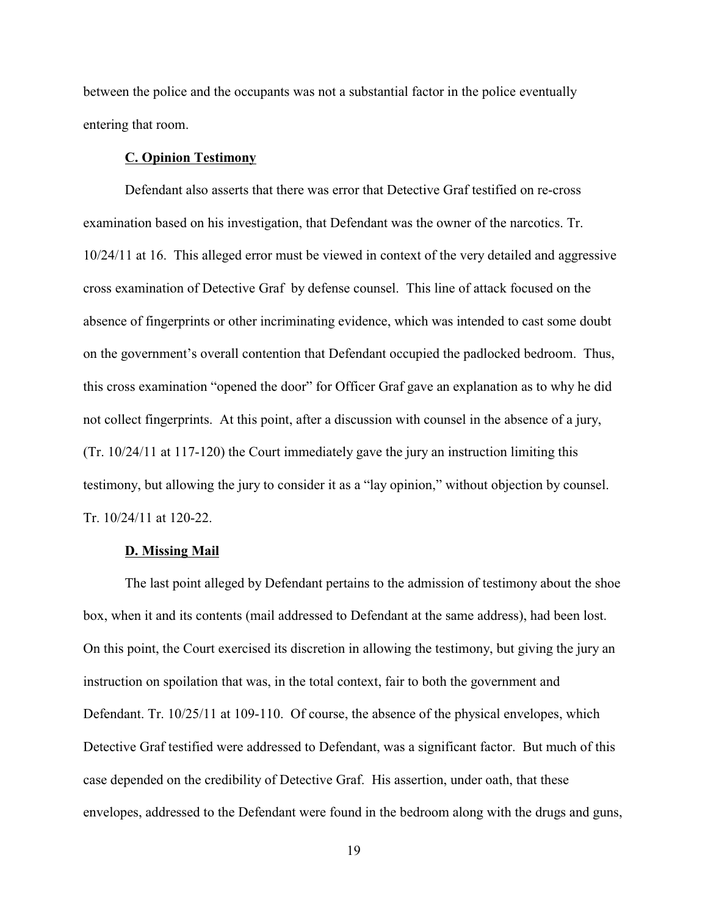between the police and the occupants was not a substantial factor in the police eventually entering that room.

#### **C. Opinion Testimony**

Defendant also asserts that there was error that Detective Graf testified on re-cross examination based on his investigation, that Defendant was the owner of the narcotics. Tr. 10/24/11 at 16. This alleged error must be viewed in context of the very detailed and aggressive cross examination of Detective Graf by defense counsel. This line of attack focused on the absence of fingerprints or other incriminating evidence, which was intended to cast some doubt on the government's overall contention that Defendant occupied the padlocked bedroom. Thus, this cross examination "opened the door" for Officer Graf gave an explanation as to why he did not collect fingerprints. At this point, after a discussion with counsel in the absence of a jury, (Tr. 10/24/11 at 117-120) the Court immediately gave the jury an instruction limiting this testimony, but allowing the jury to consider it as a "lay opinion," without objection by counsel. Tr. 10/24/11 at 120-22.

# **D. Missing Mail**

The last point alleged by Defendant pertains to the admission of testimony about the shoe box, when it and its contents (mail addressed to Defendant at the same address), had been lost. On this point, the Court exercised its discretion in allowing the testimony, but giving the jury an instruction on spoilation that was, in the total context, fair to both the government and Defendant. Tr. 10/25/11 at 109-110. Of course, the absence of the physical envelopes, which Detective Graf testified were addressed to Defendant, was a significant factor. But much of this case depended on the credibility of Detective Graf. His assertion, under oath, that these envelopes, addressed to the Defendant were found in the bedroom along with the drugs and guns,